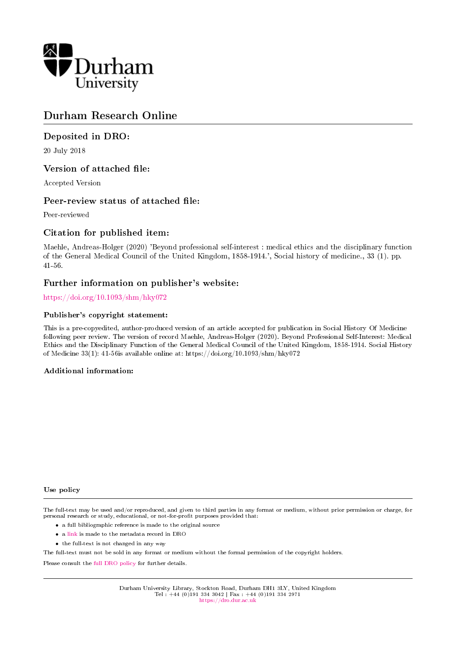

# Durham Research Online

## Deposited in DRO:

20 July 2018

## Version of attached file:

Accepted Version

## Peer-review status of attached file:

Peer-reviewed

## Citation for published item:

Maehle, Andreas-Holger (2020) 'Beyond professional self-interest : medical ethics and the disciplinary function of the General Medical Council of the United Kingdom, 1858-1914.', Social history of medicine., 33 (1). pp. 41-56.

## Further information on publisher's website:

<https://doi.org/10.1093/shm/hky072>

### Publisher's copyright statement:

This is a pre-copyedited, author-produced version of an article accepted for publication in Social History Of Medicine following peer review. The version of record Maehle, Andreas-Holger (2020). Beyond Professional Self-Interest: Medical Ethics and the Disciplinary Function of the General Medical Council of the United Kingdom, 1858-1914. Social History of Medicine 33(1): 41-56is available online at: https://doi.org/10.1093/shm/hky072

### Additional information:

#### Use policy

The full-text may be used and/or reproduced, and given to third parties in any format or medium, without prior permission or charge, for personal research or study, educational, or not-for-profit purposes provided that:

- a full bibliographic reference is made to the original source
- a [link](http://dro.dur.ac.uk/25643/) is made to the metadata record in DRO
- the full-text is not changed in any way

The full-text must not be sold in any format or medium without the formal permission of the copyright holders.

Please consult the [full DRO policy](https://dro.dur.ac.uk/policies/usepolicy.pdf) for further details.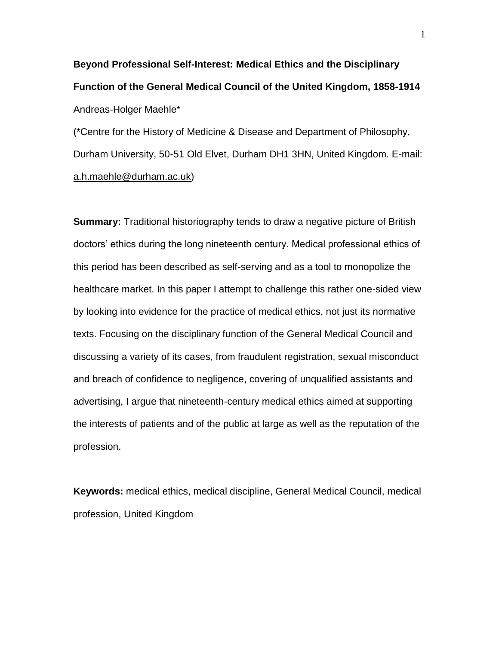**Beyond Professional Self-Interest: Medical Ethics and the Disciplinary Function of the General Medical Council of the United Kingdom, 1858-1914** Andreas-Holger Maehle\*

(\*Centre for the History of Medicine & Disease and Department of Philosophy, Durham University, 50-51 Old Elvet, Durham DH1 3HN, United Kingdom. E-mail: [a.h.maehle@durham.ac.uk\)](mailto:a.h.maehle@durham.ac.uk)

**Summary:** Traditional historiography tends to draw a negative picture of British doctors' ethics during the long nineteenth century. Medical professional ethics of this period has been described as self-serving and as a tool to monopolize the healthcare market. In this paper I attempt to challenge this rather one-sided view by looking into evidence for the practice of medical ethics, not just its normative texts. Focusing on the disciplinary function of the General Medical Council and discussing a variety of its cases, from fraudulent registration, sexual misconduct and breach of confidence to negligence, covering of unqualified assistants and advertising, I argue that nineteenth-century medical ethics aimed at supporting the interests of patients and of the public at large as well as the reputation of the profession.

**Keywords:** medical ethics, medical discipline, General Medical Council, medical profession, United Kingdom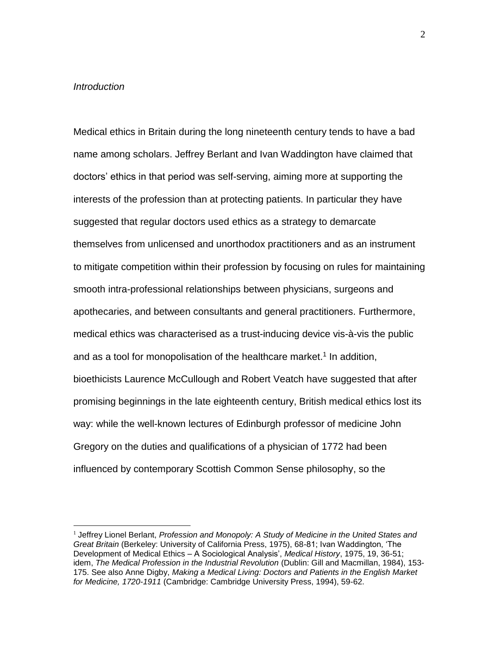### *Introduction*

 $\overline{a}$ 

Medical ethics in Britain during the long nineteenth century tends to have a bad name among scholars. Jeffrey Berlant and Ivan Waddington have claimed that doctors' ethics in that period was self-serving, aiming more at supporting the interests of the profession than at protecting patients. In particular they have suggested that regular doctors used ethics as a strategy to demarcate themselves from unlicensed and unorthodox practitioners and as an instrument to mitigate competition within their profession by focusing on rules for maintaining smooth intra-professional relationships between physicians, surgeons and apothecaries, and between consultants and general practitioners. Furthermore, medical ethics was characterised as a trust-inducing device vis-à-vis the public and as a tool for monopolisation of the healthcare market. 1 In addition, bioethicists Laurence McCullough and Robert Veatch have suggested that after promising beginnings in the late eighteenth century, British medical ethics lost its way: while the well-known lectures of Edinburgh professor of medicine John Gregory on the duties and qualifications of a physician of 1772 had been influenced by contemporary Scottish Common Sense philosophy, so the

<sup>1</sup> Jeffrey Lionel Berlant, *Profession and Monopoly: A Study of Medicine in the United States and Great Britain* (Berkeley: University of California Press, 1975), 68-81; Ivan Waddington, 'The Development of Medical Ethics – A Sociological Analysis', *Medical History*, 1975, 19, 36-51; idem, *The Medical Profession in the Industrial Revolution* (Dublin: Gill and Macmillan, 1984), 153- 175. See also Anne Digby, *Making a Medical Living: Doctors and Patients in the English Market for Medicine, 1720-1911* (Cambridge: Cambridge University Press, 1994), 59-62.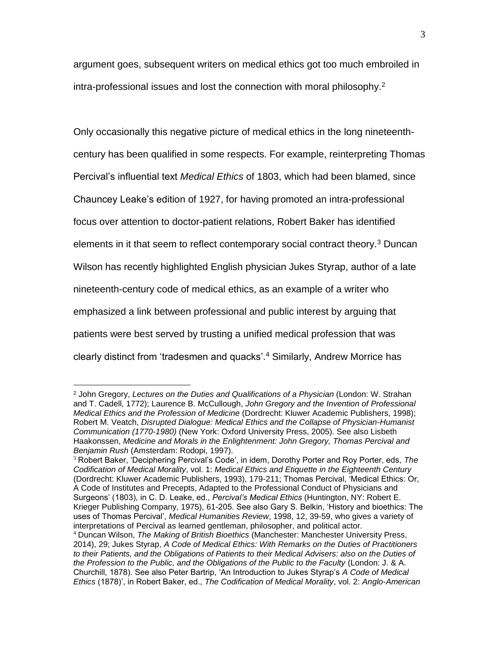argument goes, subsequent writers on medical ethics got too much embroiled in intra-professional issues and lost the connection with moral philosophy. 2

Only occasionally this negative picture of medical ethics in the long nineteenthcentury has been qualified in some respects. For example, reinterpreting Thomas Percival's influential text *Medical Ethics* of 1803, which had been blamed, since Chauncey Leake's edition of 1927, for having promoted an intra-professional focus over attention to doctor-patient relations, Robert Baker has identified elements in it that seem to reflect contemporary social contract theory.<sup>3</sup> Duncan Wilson has recently highlighted English physician Jukes Styrap, author of a late nineteenth-century code of medical ethics, as an example of a writer who emphasized a link between professional and public interest by arguing that patients were best served by trusting a unified medical profession that was clearly distinct from 'tradesmen and quacks'.<sup>4</sup> Similarly, Andrew Morrice has

<sup>2</sup> John Gregory, *Lectures on the Duties and Qualifications of a Physician* (London: W. Strahan and T. Cadell, 1772); Laurence B. McCullough, *John Gregory and the Invention of Professional Medical Ethics and the Profession of Medicine* (Dordrecht: Kluwer Academic Publishers, 1998); Robert M. Veatch, *Disrupted Dialogue: Medical Ethics and the Collapse of Physician-Humanist Communication (1770-1980)* (New York: Oxford University Press, 2005). See also Lisbeth Haakonssen, *Medicine and Morals in the Enlightenment: John Gregory, Thomas Percival and Benjamin Rush* (Amsterdam: Rodopi, 1997).

<sup>3</sup> Robert Baker, 'Deciphering Percival's Code', in idem, Dorothy Porter and Roy Porter, eds, *The Codification of Medical Morality*, vol. 1: *Medical Ethics and Etiquette in the Eighteenth Century* (Dordrecht: Kluwer Academic Publishers, 1993), 179-211; Thomas Percival, 'Medical Ethics: Or, A Code of Institutes and Precepts, Adapted to the Professional Conduct of Physicians and Surgeons' (1803), in C. D. Leake, ed., *Percival's Medical Ethics* (Huntington, NY: Robert E. Krieger Publishing Company, 1975), 61-205. See also Gary S. Belkin, 'History and bioethics: The uses of Thomas Percival', *Medical Humanities Review*, 1998, 12, 39-59, who gives a variety of interpretations of Percival as learned gentleman, philosopher, and political actor.

<sup>4</sup> Duncan Wilson, *The Making of British Bioethics* (Manchester: Manchester University Press, 2014), 29; Jukes Styrap, *A Code of Medical Ethics: With Remarks on the Duties of Practitioners to their Patients, and the Obligations of Patients to their Medical Advisers: also on the Duties of the Profession to the Public, and the Obligations of the Public to the Faculty* (London: J. & A. Churchill, 1878). See also Peter Bartrip, 'An Introduction to Jukes Styrap's *A Code of Medical Ethics* (1878)', in Robert Baker, ed., *The Codification of Medical Morality*, vol. 2: *Anglo-American*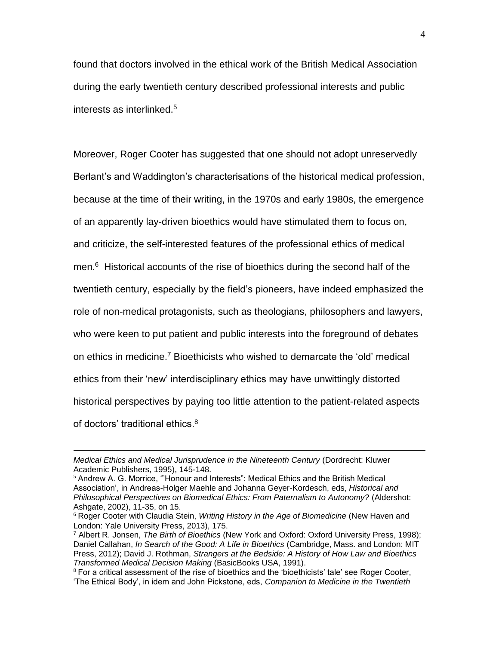found that doctors involved in the ethical work of the British Medical Association during the early twentieth century described professional interests and public interests as interlinked.<sup>5</sup>

Moreover, Roger Cooter has suggested that one should not adopt unreservedly Berlant's and Waddington's characterisations of the historical medical profession, because at the time of their writing, in the 1970s and early 1980s, the emergence of an apparently lay-driven bioethics would have stimulated them to focus on, and criticize, the self-interested features of the professional ethics of medical men. <sup>6</sup> Historical accounts of the rise of bioethics during the second half of the twentieth century, especially by the field's pioneers, have indeed emphasized the role of non-medical protagonists, such as theologians, philosophers and lawyers, who were keen to put patient and public interests into the foreground of debates on ethics in medicine.<sup>7</sup> Bioethicists who wished to demarcate the 'old' medical ethics from their 'new' interdisciplinary ethics may have unwittingly distorted historical perspectives by paying too little attention to the patient-related aspects of doctors' traditional ethics.<sup>8</sup>

*Medical Ethics and Medical Jurisprudence in the Nineteenth Century* (Dordrecht: Kluwer Academic Publishers, 1995), 145-148.

 $<sup>5</sup>$  Andrew A. G. Morrice, "Honour and Interests": Medical Ethics and the British Medical</sup> Association', in Andreas-Holger Maehle and Johanna Geyer-Kordesch, eds, *Historical and Philosophical Perspectives on Biomedical Ethics: From Paternalism to Autonomy?* (Aldershot: Ashgate, 2002), 11-35, on 15.

<sup>6</sup> Roger Cooter with Claudia Stein, *Writing History in the Age of Biomedicine* (New Haven and London: Yale University Press, 2013), 175.

<sup>7</sup> Albert R. Jonsen, *The Birth of Bioethics* (New York and Oxford: Oxford University Press, 1998); Daniel Callahan, *In Search of the Good: A Life in Bioethics* (Cambridge, Mass. and London: MIT Press, 2012); David J. Rothman, *Strangers at the Bedside: A History of How Law and Bioethics Transformed Medical Decision Making* (BasicBooks USA, 1991).

 $8$  For a critical assessment of the rise of bioethics and the 'bioethicists' tale' see Roger Cooter, 'The Ethical Body', in idem and John Pickstone, eds, *Companion to Medicine in the Twentieth*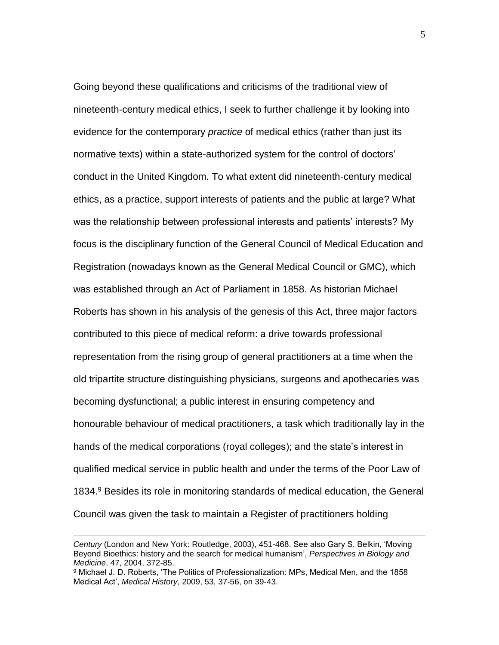Going beyond these qualifications and criticisms of the traditional view of nineteenth-century medical ethics, I seek to further challenge it by looking into evidence for the contemporary *practice* of medical ethics (rather than just its normative texts) within a state-authorized system for the control of doctors' conduct in the United Kingdom. To what extent did nineteenth-century medical ethics, as a practice, support interests of patients and the public at large? What was the relationship between professional interests and patients' interests? My focus is the disciplinary function of the General Council of Medical Education and Registration (nowadays known as the General Medical Council or GMC), which was established through an Act of Parliament in 1858. As historian Michael Roberts has shown in his analysis of the genesis of this Act, three major factors contributed to this piece of medical reform: a drive towards professional representation from the rising group of general practitioners at a time when the old tripartite structure distinguishing physicians, surgeons and apothecaries was becoming dysfunctional; a public interest in ensuring competency and honourable behaviour of medical practitioners, a task which traditionally lay in the hands of the medical corporations (royal colleges); and the state's interest in qualified medical service in public health and under the terms of the Poor Law of 1834. <sup>9</sup> Besides its role in monitoring standards of medical education, the General Council was given the task to maintain a Register of practitioners holding

*Century* (London and New York: Routledge, 2003), 451-468. See also Gary S. Belkin, 'Moving Beyond Bioethics: history and the search for medical humanism', *Perspectives in Biology and Medicine*, 47, 2004, 372-85.

<sup>9</sup> Michael J. D. Roberts, 'The Politics of Professionalization: MPs, Medical Men, and the 1858 Medical Act', *Medical History*, 2009, 53, 37-56, on 39-43.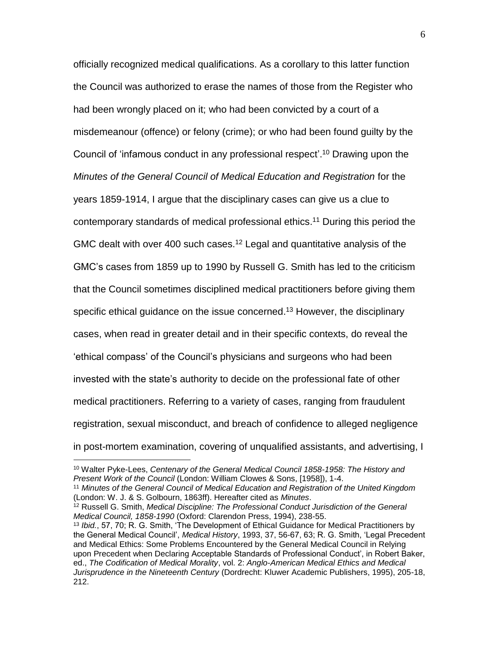officially recognized medical qualifications. As a corollary to this latter function the Council was authorized to erase the names of those from the Register who had been wrongly placed on it; who had been convicted by a court of a misdemeanour (offence) or felony (crime); or who had been found guilty by the Council of 'infamous conduct in any professional respect'. <sup>10</sup> Drawing upon the *Minutes of the General Council of Medical Education and Registration* for the years 1859-1914, I argue that the disciplinary cases can give us a clue to contemporary standards of medical professional ethics. <sup>11</sup> During this period the GMC dealt with over 400 such cases.<sup>12</sup> Legal and quantitative analysis of the GMC's cases from 1859 up to 1990 by Russell G. Smith has led to the criticism that the Council sometimes disciplined medical practitioners before giving them specific ethical guidance on the issue concerned.<sup>13</sup> However, the disciplinary cases, when read in greater detail and in their specific contexts, do reveal the 'ethical compass' of the Council's physicians and surgeons who had been invested with the state's authority to decide on the professional fate of other medical practitioners. Referring to a variety of cases, ranging from fraudulent registration, sexual misconduct, and breach of confidence to alleged negligence in post-mortem examination, covering of unqualified assistants, and advertising, I

<sup>10</sup> Walter Pyke-Lees, *Centenary of the General Medical Council 1858-1958: The History and Present Work of the Council* (London: William Clowes & Sons, [1958]), 1-4.

<sup>11</sup> *Minutes of the General Council of Medical Education and Registration of the United Kingdom*  (London: W. J. & S. Golbourn, 1863ff). Hereafter cited as *Minutes*.

<sup>&</sup>lt;sup>12</sup> Russell G. Smith, *Medical Discipline: The Professional Conduct Jurisdiction of the General Medical Council, 1858-1990* (Oxford: Clarendon Press, 1994), 238-55.

<sup>13</sup> *Ibid.*, 57, 70; R. G. Smith, 'The Development of Ethical Guidance for Medical Practitioners by the General Medical Council', *Medical History*, 1993, 37, 56-67, 63; R. G. Smith, 'Legal Precedent and Medical Ethics: Some Problems Encountered by the General Medical Council in Relying upon Precedent when Declaring Acceptable Standards of Professional Conduct', in Robert Baker, ed., *The Codification of Medical Morality*, vol. 2: *Anglo-American Medical Ethics and Medical Jurisprudence in the Nineteenth Century* (Dordrecht: Kluwer Academic Publishers, 1995), 205-18, 212.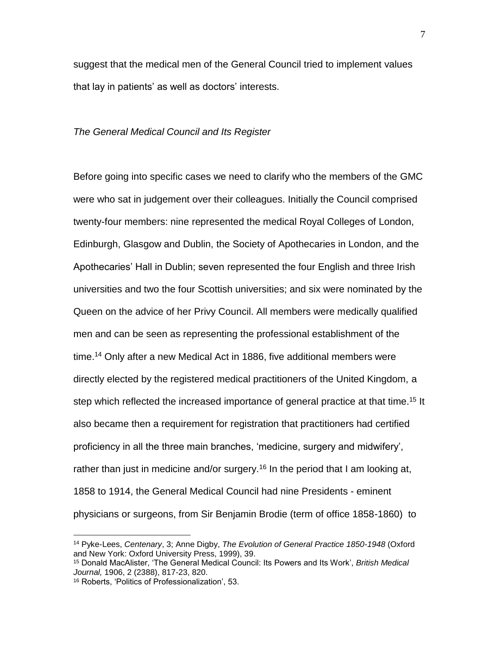suggest that the medical men of the General Council tried to implement values that lay in patients' as well as doctors' interests.

#### *The General Medical Council and Its Register*

Before going into specific cases we need to clarify who the members of the GMC were who sat in judgement over their colleagues. Initially the Council comprised twenty-four members: nine represented the medical Royal Colleges of London, Edinburgh, Glasgow and Dublin, the Society of Apothecaries in London, and the Apothecaries' Hall in Dublin; seven represented the four English and three Irish universities and two the four Scottish universities; and six were nominated by the Queen on the advice of her Privy Council. All members were medically qualified men and can be seen as representing the professional establishment of the time.<sup>14</sup> Only after a new Medical Act in 1886, five additional members were directly elected by the registered medical practitioners of the United Kingdom, a step which reflected the increased importance of general practice at that time.<sup>15</sup> It also became then a requirement for registration that practitioners had certified proficiency in all the three main branches, 'medicine, surgery and midwifery', rather than just in medicine and/or surgery.<sup>16</sup> In the period that I am looking at, 1858 to 1914, the General Medical Council had nine Presidents - eminent physicians or surgeons, from Sir Benjamin Brodie (term of office 1858-1860) to

<sup>14</sup> Pyke-Lees, *Centenary*, 3; Anne Digby, *The Evolution of General Practice 1850-1948* (Oxford and New York: Oxford University Press, 1999), 39.

<sup>15</sup> Donald MacAlister, 'The General Medical Council: Its Powers and Its Work', *British Medical Journal,* 1906, 2 (2388), 817-23, 820.

<sup>16</sup> Roberts, 'Politics of Professionalization', 53.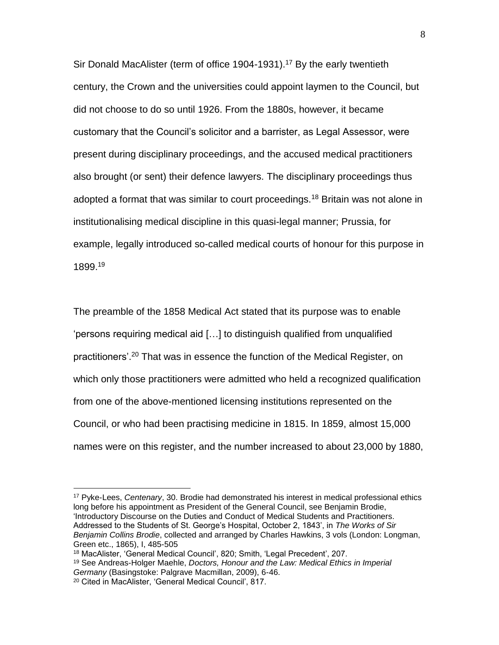Sir Donald MacAlister (term of office 1904-1931).<sup>17</sup> By the early twentieth century, the Crown and the universities could appoint laymen to the Council, but did not choose to do so until 1926. From the 1880s, however, it became customary that the Council's solicitor and a barrister, as Legal Assessor, were present during disciplinary proceedings, and the accused medical practitioners also brought (or sent) their defence lawyers. The disciplinary proceedings thus adopted a format that was similar to court proceedings.<sup>18</sup> Britain was not alone in institutionalising medical discipline in this quasi-legal manner; Prussia, for example, legally introduced so-called medical courts of honour for this purpose in 1899. 19

The preamble of the 1858 Medical Act stated that its purpose was to enable 'persons requiring medical aid […] to distinguish qualified from unqualified practitioners'. <sup>20</sup> That was in essence the function of the Medical Register, on which only those practitioners were admitted who held a recognized qualification from one of the above-mentioned licensing institutions represented on the Council, or who had been practising medicine in 1815. In 1859, almost 15,000 names were on this register, and the number increased to about 23,000 by 1880,

<sup>17</sup> Pyke-Lees, *Centenary*, 30. Brodie had demonstrated his interest in medical professional ethics long before his appointment as President of the General Council, see Benjamin Brodie, 'Introductory Discourse on the Duties and Conduct of Medical Students and Practitioners. Addressed to the Students of St. George's Hospital, October 2, 1843', in *The Works of Sir Benjamin Collins Brodie*, collected and arranged by Charles Hawkins, 3 vols (London: Longman, Green etc., 1865), I, 485-505

<sup>18</sup> MacAlister, 'General Medical Council', 820; Smith, 'Legal Precedent', 207.

<sup>19</sup> See Andreas-Holger Maehle, *Doctors, Honour and the Law: Medical Ethics in Imperial Germany* (Basingstoke: Palgrave Macmillan, 2009), 6-46.

<sup>20</sup> Cited in MacAlister, 'General Medical Council', 817.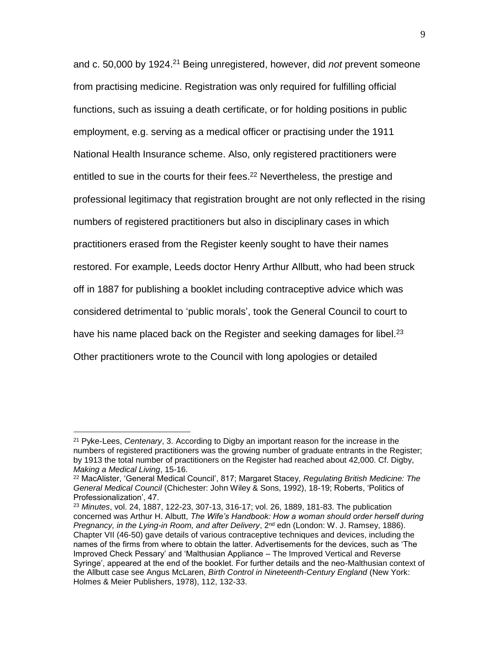and c. 50,000 by 1924. <sup>21</sup> Being unregistered, however, did *not* prevent someone from practising medicine. Registration was only required for fulfilling official functions, such as issuing a death certificate, or for holding positions in public employment, e.g. serving as a medical officer or practising under the 1911 National Health Insurance scheme. Also, only registered practitioners were entitled to sue in the courts for their fees.<sup>22</sup> Nevertheless, the prestige and professional legitimacy that registration brought are not only reflected in the rising numbers of registered practitioners but also in disciplinary cases in which practitioners erased from the Register keenly sought to have their names restored. For example, Leeds doctor Henry Arthur Allbutt, who had been struck off in 1887 for publishing a booklet including contraceptive advice which was considered detrimental to 'public morals', took the General Council to court to have his name placed back on the Register and seeking damages for libel.<sup>23</sup> Other practitioners wrote to the Council with long apologies or detailed

<sup>21</sup> Pyke-Lees, *Centenary*, 3. According to Digby an important reason for the increase in the numbers of registered practitioners was the growing number of graduate entrants in the Register; by 1913 the total number of practitioners on the Register had reached about 42,000. Cf. Digby, *Making a Medical Living*, 15-16.

<sup>22</sup> MacAlister, 'General Medical Council', 817; Margaret Stacey, *Regulating British Medicine: The General Medical Council* (Chichester: John Wiley & Sons, 1992), 18-19; Roberts, 'Politics of Professionalization', 47.

<sup>23</sup> *Minutes*, vol. 24, 1887, 122-23, 307-13, 316-17; vol. 26, 1889, 181-83. The publication concerned was Arthur H. Albutt, *The Wife's Handbook: How a woman should order herself during Pregnancy, in the Lying-in Room, and after Delivery, 2<sup>nd</sup> edn (London: W. J. Ramsey, 1886).* Chapter VII (46-50) gave details of various contraceptive techniques and devices, including the names of the firms from where to obtain the latter. Advertisements for the devices, such as 'The Improved Check Pessary' and 'Malthusian Appliance – The Improved Vertical and Reverse Syringe', appeared at the end of the booklet. For further details and the neo-Malthusian context of the Allbutt case see Angus McLaren, *Birth Control in Nineteenth-Century England* (New York: Holmes & Meier Publishers, 1978), 112, 132-33.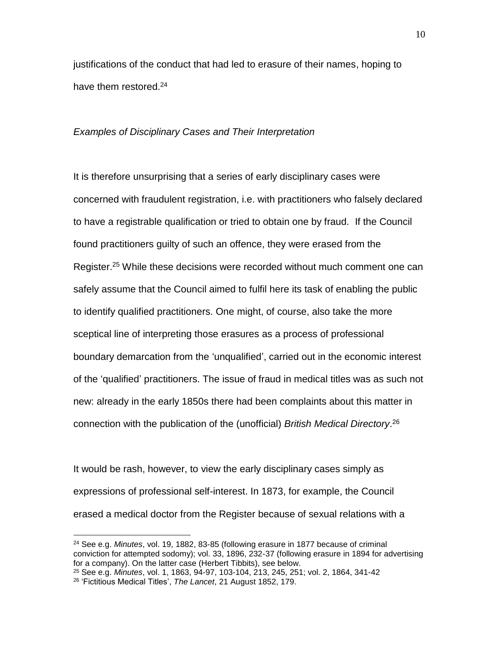justifications of the conduct that had led to erasure of their names, hoping to have them restored.<sup>24</sup>

#### *Examples of Disciplinary Cases and Their Interpretation*

It is therefore unsurprising that a series of early disciplinary cases were concerned with fraudulent registration, i.e. with practitioners who falsely declared to have a registrable qualification or tried to obtain one by fraud. If the Council found practitioners guilty of such an offence, they were erased from the Register. <sup>25</sup> While these decisions were recorded without much comment one can safely assume that the Council aimed to fulfil here its task of enabling the public to identify qualified practitioners. One might, of course, also take the more sceptical line of interpreting those erasures as a process of professional boundary demarcation from the 'unqualified', carried out in the economic interest of the 'qualified' practitioners. The issue of fraud in medical titles was as such not new: already in the early 1850s there had been complaints about this matter in connection with the publication of the (unofficial) *British Medical Directory*. 26

It would be rash, however, to view the early disciplinary cases simply as expressions of professional self-interest. In 1873, for example, the Council erased a medical doctor from the Register because of sexual relations with a

<sup>24</sup> See e.g. *Minutes*, vol. 19, 1882, 83-85 (following erasure in 1877 because of criminal conviction for attempted sodomy); vol. 33, 1896, 232-37 (following erasure in 1894 for advertising for a company). On the latter case (Herbert Tibbits), see below.

<sup>25</sup> See e.g. *Minutes*, vol. 1, 1863, 94-97, 103-104, 213, 245, 251; vol. 2, 1864, 341-42

<sup>26</sup> 'Fictitious Medical Titles', *The Lancet*, 21 August 1852, 179.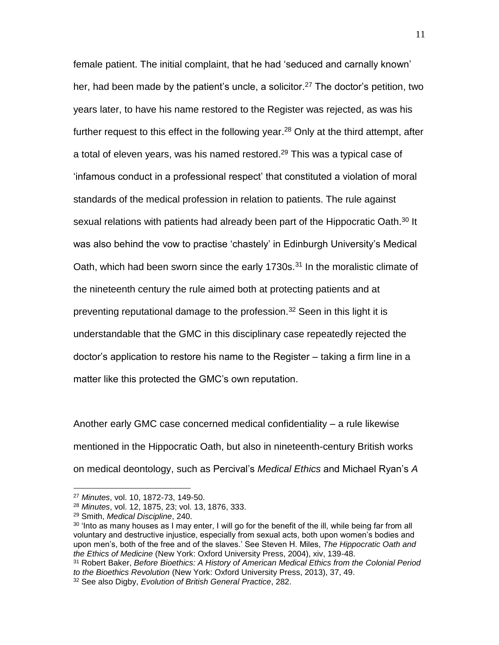female patient. The initial complaint, that he had 'seduced and carnally known' her, had been made by the patient's uncle, a solicitor.<sup>27</sup> The doctor's petition, two years later, to have his name restored to the Register was rejected, as was his further request to this effect in the following year.<sup>28</sup> Only at the third attempt, after a total of eleven years, was his named restored. <sup>29</sup> This was a typical case of 'infamous conduct in a professional respect' that constituted a violation of moral standards of the medical profession in relation to patients. The rule against sexual relations with patients had already been part of the Hippocratic Oath.<sup>30</sup> It was also behind the vow to practise 'chastely' in Edinburgh University's Medical Oath, which had been sworn since the early 1730s. $31$  In the moralistic climate of the nineteenth century the rule aimed both at protecting patients and at preventing reputational damage to the profession.<sup>32</sup> Seen in this light it is understandable that the GMC in this disciplinary case repeatedly rejected the doctor's application to restore his name to the Register – taking a firm line in a matter like this protected the GMC's own reputation.

Another early GMC case concerned medical confidentiality – a rule likewise mentioned in the Hippocratic Oath, but also in nineteenth-century British works on medical deontology, such as Percival's *Medical Ethics* and Michael Ryan's *A* 

<sup>27</sup> *Minutes*, vol. 10, 1872-73, 149-50.

<sup>28</sup> *Minutes*, vol. 12, 1875, 23; vol. 13, 1876, 333.

<sup>29</sup> Smith, *Medical Discipline*, 240.

 $30$  'Into as many houses as I may enter, I will go for the benefit of the ill, while being far from all voluntary and destructive injustice, especially from sexual acts, both upon women's bodies and upon men's, both of the free and of the slaves.' See Steven H. Miles, *The Hippocratic Oath and the Ethics of Medicine* (New York: Oxford University Press, 2004), xiv, 139-48.

<sup>31</sup> Robert Baker, *Before Bioethics: A History of American Medical Ethics from the Colonial Period to the Bioethics Revolution* (New York: Oxford University Press, 2013), 37, 49.

<sup>32</sup> See also Digby, *Evolution of British General Practice*, 282.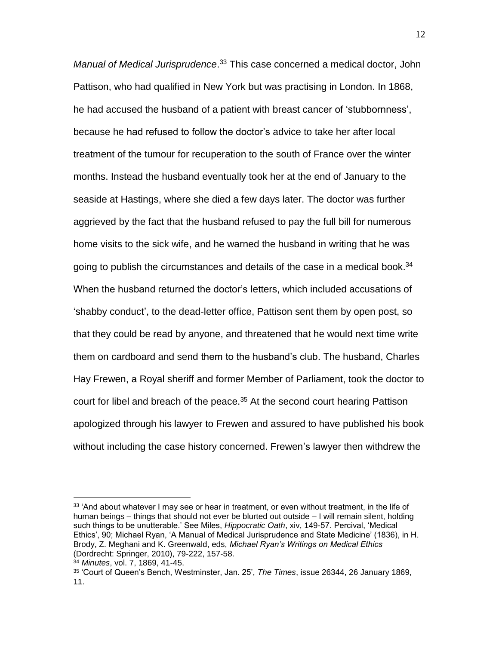*Manual of Medical Jurisprudence*. <sup>33</sup> This case concerned a medical doctor, John Pattison, who had qualified in New York but was practising in London. In 1868, he had accused the husband of a patient with breast cancer of 'stubbornness', because he had refused to follow the doctor's advice to take her after local treatment of the tumour for recuperation to the south of France over the winter months. Instead the husband eventually took her at the end of January to the seaside at Hastings, where she died a few days later. The doctor was further aggrieved by the fact that the husband refused to pay the full bill for numerous home visits to the sick wife, and he warned the husband in writing that he was going to publish the circumstances and details of the case in a medical book.<sup>34</sup> When the husband returned the doctor's letters, which included accusations of 'shabby conduct', to the dead-letter office, Pattison sent them by open post, so that they could be read by anyone, and threatened that he would next time write them on cardboard and send them to the husband's club. The husband, Charles Hay Frewen, a Royal sheriff and former Member of Parliament, took the doctor to court for libel and breach of the peace.<sup>35</sup> At the second court hearing Pattison apologized through his lawyer to Frewen and assured to have published his book without including the case history concerned. Frewen's lawyer then withdrew the

 $33$  'And about whatever I may see or hear in treatment, or even without treatment, in the life of human beings – things that should not ever be blurted out outside – I will remain silent, holding such things to be unutterable.' See Miles, *Hippocratic Oath*, xiv, 149-57. Percival, 'Medical Ethics', 90; Michael Ryan, 'A Manual of Medical Jurisprudence and State Medicine' (1836), in H. Brody, Z. Meghani and K. Greenwald, eds, *Michael Ryan's Writings on Medical Ethics* (Dordrecht: Springer, 2010), 79-222, 157-58.

<sup>34</sup> *Minutes*, vol. 7, 1869, 41-45.

<sup>35</sup> 'Court of Queen's Bench, Westminster, Jan. 25', *The Times*, issue 26344, 26 January 1869, 11.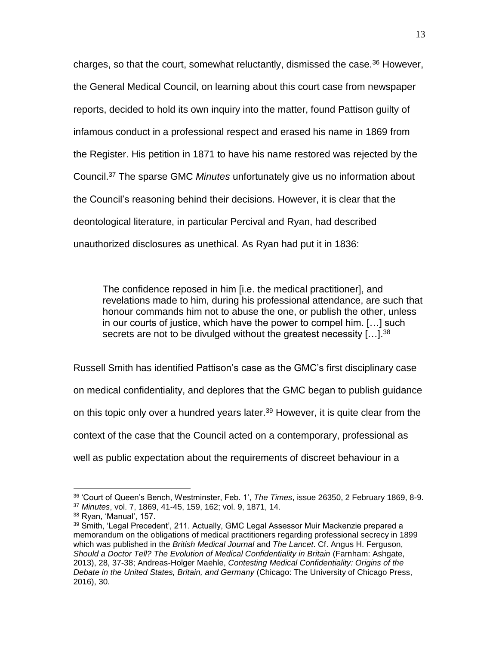charges, so that the court, somewhat reluctantly, dismissed the case.<sup>36</sup> However, the General Medical Council, on learning about this court case from newspaper reports, decided to hold its own inquiry into the matter, found Pattison guilty of infamous conduct in a professional respect and erased his name in 1869 from the Register. His petition in 1871 to have his name restored was rejected by the Council. <sup>37</sup> The sparse GMC *Minutes* unfortunately give us no information about the Council's reasoning behind their decisions. However, it is clear that the deontological literature, in particular Percival and Ryan, had described unauthorized disclosures as unethical. As Ryan had put it in 1836:

The confidence reposed in him [i.e. the medical practitioner], and revelations made to him, during his professional attendance, are such that honour commands him not to abuse the one, or publish the other, unless in our courts of justice, which have the power to compel him. […] such secrets are not to be divulged without the greatest necessity [...]. $^{38}$ 

Russell Smith has identified Pattison's case as the GMC's first disciplinary case on medical confidentiality, and deplores that the GMC began to publish guidance on this topic only over a hundred years later.<sup>39</sup> However, it is quite clear from the context of the case that the Council acted on a contemporary, professional as well as public expectation about the requirements of discreet behaviour in a

 $\overline{a}$ <sup>36</sup> 'Court of Queen's Bench, Westminster, Feb. 1', *The Times*, issue 26350, 2 February 1869, 8-9. <sup>37</sup> *Minutes*, vol. 7, 1869, 41-45, 159, 162; vol. 9, 1871, 14.

<sup>38</sup> Ryan, 'Manual', 157.

<sup>39</sup> Smith, 'Legal Precedent', 211. Actually, GMC Legal Assessor Muir Mackenzie prepared a memorandum on the obligations of medical practitioners regarding professional secrecy in 1899 which was published in the *British Medical Journal* and *The Lancet*. Cf. Angus H. Ferguson, *Should a Doctor Tell? The Evolution of Medical Confidentiality in Britain* (Farnham: Ashgate, 2013), 28, 37-38; Andreas-Holger Maehle, *Contesting Medical Confidentiality: Origins of the Debate in the United States, Britain, and Germany* (Chicago: The University of Chicago Press, 2016), 30.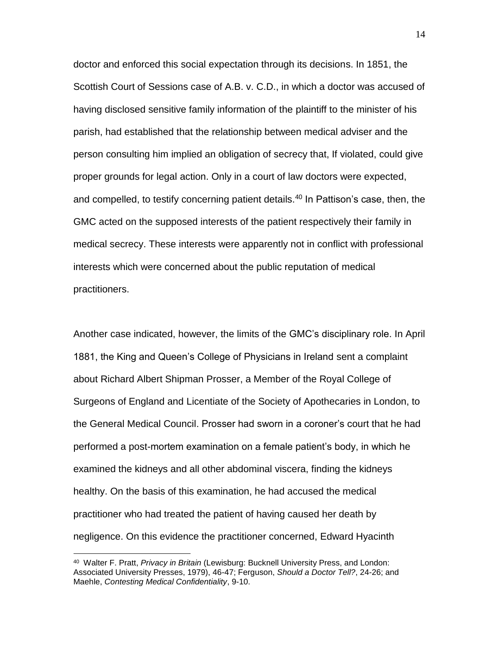doctor and enforced this social expectation through its decisions. In 1851, the Scottish Court of Sessions case of A.B. v. C.D., in which a doctor was accused of having disclosed sensitive family information of the plaintiff to the minister of his parish, had established that the relationship between medical adviser and the person consulting him implied an obligation of secrecy that, If violated, could give proper grounds for legal action. Only in a court of law doctors were expected, and compelled, to testify concerning patient details.<sup>40</sup> In Pattison's case, then, the GMC acted on the supposed interests of the patient respectively their family in medical secrecy. These interests were apparently not in conflict with professional interests which were concerned about the public reputation of medical practitioners.

Another case indicated, however, the limits of the GMC's disciplinary role. In April 1881, the King and Queen's College of Physicians in Ireland sent a complaint about Richard Albert Shipman Prosser, a Member of the Royal College of Surgeons of England and Licentiate of the Society of Apothecaries in London, to the General Medical Council. Prosser had sworn in a coroner's court that he had performed a post-mortem examination on a female patient's body, in which he examined the kidneys and all other abdominal viscera, finding the kidneys healthy. On the basis of this examination, he had accused the medical practitioner who had treated the patient of having caused her death by negligence. On this evidence the practitioner concerned, Edward Hyacinth

<sup>40</sup> Walter F. Pratt, *Privacy in Britain* (Lewisburg: Bucknell University Press, and London: Associated University Presses, 1979), 46-47; Ferguson, *Should a Doctor Tell?*, 24-26; and Maehle, *Contesting Medical Confidentiality*, 9-10.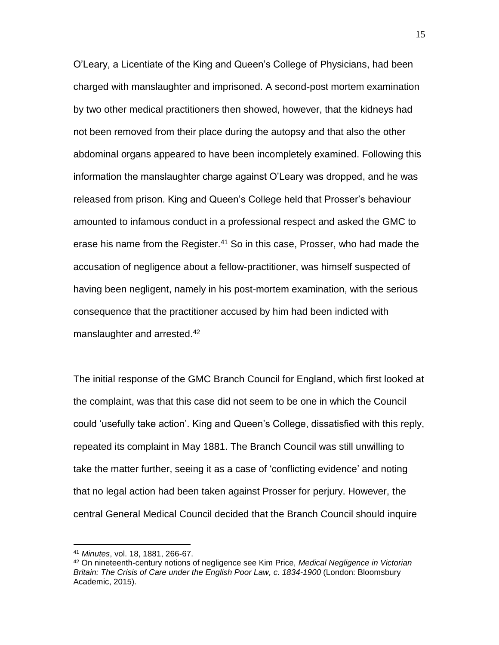O'Leary, a Licentiate of the King and Queen's College of Physicians, had been charged with manslaughter and imprisoned. A second-post mortem examination by two other medical practitioners then showed, however, that the kidneys had not been removed from their place during the autopsy and that also the other abdominal organs appeared to have been incompletely examined. Following this information the manslaughter charge against O'Leary was dropped, and he was released from prison. King and Queen's College held that Prosser's behaviour amounted to infamous conduct in a professional respect and asked the GMC to erase his name from the Register.<sup>41</sup> So in this case, Prosser, who had made the accusation of negligence about a fellow-practitioner, was himself suspected of having been negligent, namely in his post-mortem examination, with the serious consequence that the practitioner accused by him had been indicted with manslaughter and arrested.<sup>42</sup>

The initial response of the GMC Branch Council for England, which first looked at the complaint, was that this case did not seem to be one in which the Council could 'usefully take action'. King and Queen's College, dissatisfied with this reply, repeated its complaint in May 1881. The Branch Council was still unwilling to take the matter further, seeing it as a case of 'conflicting evidence' and noting that no legal action had been taken against Prosser for perjury. However, the central General Medical Council decided that the Branch Council should inquire

<sup>41</sup> *Minutes*, vol. 18, 1881, 266-67.

<sup>42</sup> On nineteenth-century notions of negligence see Kim Price, *Medical Negligence in Victorian Britain: The Crisis of Care under the English Poor Law, c. 1834-1900* (London: Bloomsbury Academic, 2015).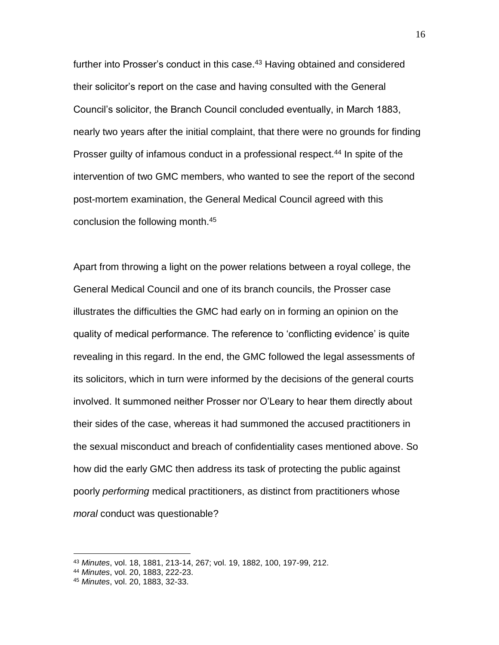further into Prosser's conduct in this case.<sup>43</sup> Having obtained and considered their solicitor's report on the case and having consulted with the General Council's solicitor, the Branch Council concluded eventually, in March 1883, nearly two years after the initial complaint, that there were no grounds for finding Prosser guilty of infamous conduct in a professional respect.<sup>44</sup> In spite of the intervention of two GMC members, who wanted to see the report of the second post-mortem examination, the General Medical Council agreed with this conclusion the following month.<sup>45</sup>

Apart from throwing a light on the power relations between a royal college, the General Medical Council and one of its branch councils, the Prosser case illustrates the difficulties the GMC had early on in forming an opinion on the quality of medical performance. The reference to 'conflicting evidence' is quite revealing in this regard. In the end, the GMC followed the legal assessments of its solicitors, which in turn were informed by the decisions of the general courts involved. It summoned neither Prosser nor O'Leary to hear them directly about their sides of the case, whereas it had summoned the accused practitioners in the sexual misconduct and breach of confidentiality cases mentioned above. So how did the early GMC then address its task of protecting the public against poorly *performing* medical practitioners, as distinct from practitioners whose *moral* conduct was questionable?

<sup>43</sup> *Minutes*, vol. 18, 1881, 213-14, 267; vol. 19, 1882, 100, 197-99, 212.

<sup>44</sup> *Minutes*, vol. 20, 1883, 222-23.

<sup>45</sup> *Minutes*, vol. 20, 1883, 32-33.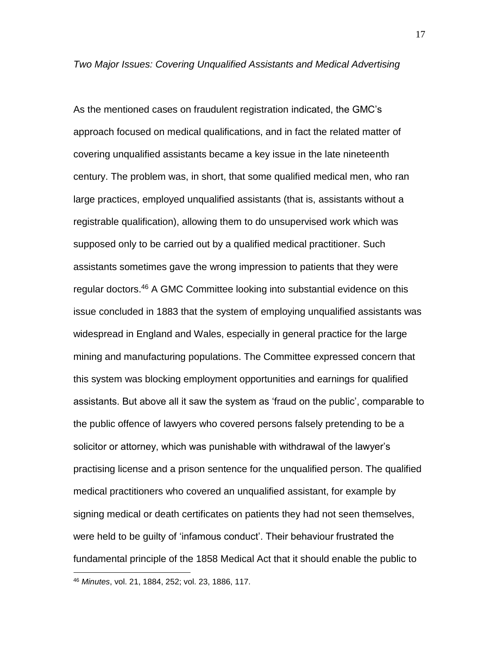As the mentioned cases on fraudulent registration indicated, the GMC's approach focused on medical qualifications, and in fact the related matter of covering unqualified assistants became a key issue in the late nineteenth century. The problem was, in short, that some qualified medical men, who ran large practices, employed unqualified assistants (that is, assistants without a registrable qualification), allowing them to do unsupervised work which was supposed only to be carried out by a qualified medical practitioner. Such assistants sometimes gave the wrong impression to patients that they were regular doctors. <sup>46</sup> A GMC Committee looking into substantial evidence on this issue concluded in 1883 that the system of employing unqualified assistants was widespread in England and Wales, especially in general practice for the large mining and manufacturing populations. The Committee expressed concern that this system was blocking employment opportunities and earnings for qualified assistants. But above all it saw the system as 'fraud on the public', comparable to the public offence of lawyers who covered persons falsely pretending to be a solicitor or attorney, which was punishable with withdrawal of the lawyer's practising license and a prison sentence for the unqualified person. The qualified medical practitioners who covered an unqualified assistant, for example by signing medical or death certificates on patients they had not seen themselves, were held to be guilty of 'infamous conduct'. Their behaviour frustrated the fundamental principle of the 1858 Medical Act that it should enable the public to

<sup>46</sup> *Minutes*, vol. 21, 1884, 252; vol. 23, 1886, 117.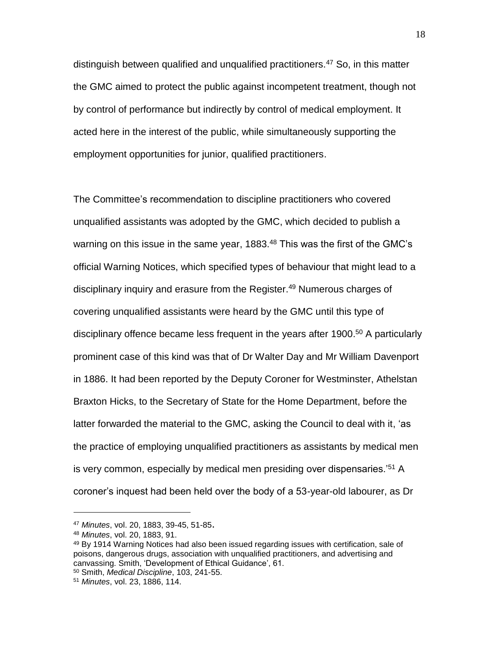distinguish between qualified and unqualified practitioners.<sup>47</sup> So, in this matter the GMC aimed to protect the public against incompetent treatment, though not by control of performance but indirectly by control of medical employment. It acted here in the interest of the public, while simultaneously supporting the employment opportunities for junior, qualified practitioners.

The Committee's recommendation to discipline practitioners who covered unqualified assistants was adopted by the GMC, which decided to publish a warning on this issue in the same year,  $1883<sup>48</sup>$  This was the first of the GMC's official Warning Notices, which specified types of behaviour that might lead to a disciplinary inquiry and erasure from the Register.<sup>49</sup> Numerous charges of covering unqualified assistants were heard by the GMC until this type of disciplinary offence became less frequent in the years after 1900. <sup>50</sup> A particularly prominent case of this kind was that of Dr Walter Day and Mr William Davenport in 1886. It had been reported by the Deputy Coroner for Westminster, Athelstan Braxton Hicks, to the Secretary of State for the Home Department, before the latter forwarded the material to the GMC, asking the Council to deal with it, 'as the practice of employing unqualified practitioners as assistants by medical men is very common, especially by medical men presiding over dispensaries.<sup>'51</sup> A coroner's inquest had been held over the body of a 53-year-old labourer, as Dr

<sup>47</sup> *Minutes*, vol. 20, 1883, 39-45, 51-85.

<sup>48</sup> *Minutes*, vol. 20, 1883, 91.

<sup>&</sup>lt;sup>49</sup> By 1914 Warning Notices had also been issued regarding issues with certification, sale of poisons, dangerous drugs, association with unqualified practitioners, and advertising and canvassing. Smith, 'Development of Ethical Guidance', 61. <sup>50</sup> Smith, *Medical Discipline*, 103, 241-55.

<sup>51</sup> *Minutes*, vol. 23, 1886, 114.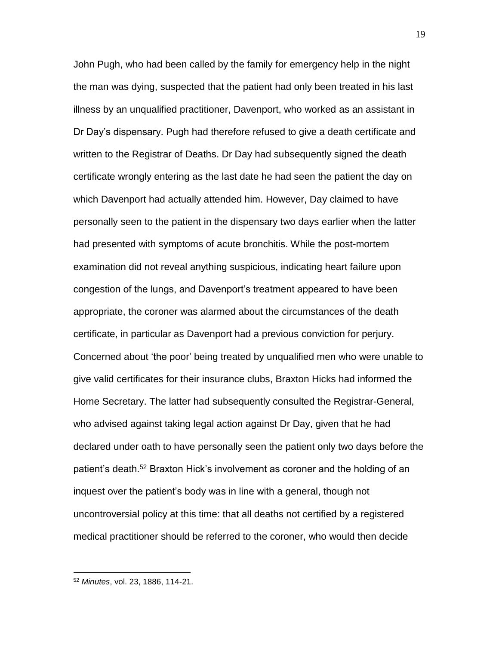John Pugh, who had been called by the family for emergency help in the night the man was dying, suspected that the patient had only been treated in his last illness by an unqualified practitioner, Davenport, who worked as an assistant in Dr Day's dispensary. Pugh had therefore refused to give a death certificate and written to the Registrar of Deaths. Dr Day had subsequently signed the death certificate wrongly entering as the last date he had seen the patient the day on which Davenport had actually attended him. However, Day claimed to have personally seen to the patient in the dispensary two days earlier when the latter had presented with symptoms of acute bronchitis. While the post-mortem examination did not reveal anything suspicious, indicating heart failure upon congestion of the lungs, and Davenport's treatment appeared to have been appropriate, the coroner was alarmed about the circumstances of the death certificate, in particular as Davenport had a previous conviction for perjury. Concerned about 'the poor' being treated by unqualified men who were unable to give valid certificates for their insurance clubs, Braxton Hicks had informed the Home Secretary. The latter had subsequently consulted the Registrar-General, who advised against taking legal action against Dr Day, given that he had declared under oath to have personally seen the patient only two days before the patient's death.<sup>52</sup> Braxton Hick's involvement as coroner and the holding of an inquest over the patient's body was in line with a general, though not uncontroversial policy at this time: that all deaths not certified by a registered medical practitioner should be referred to the coroner, who would then decide

<sup>19</sup>

<sup>52</sup> *Minutes*, vol. 23, 1886, 114-21.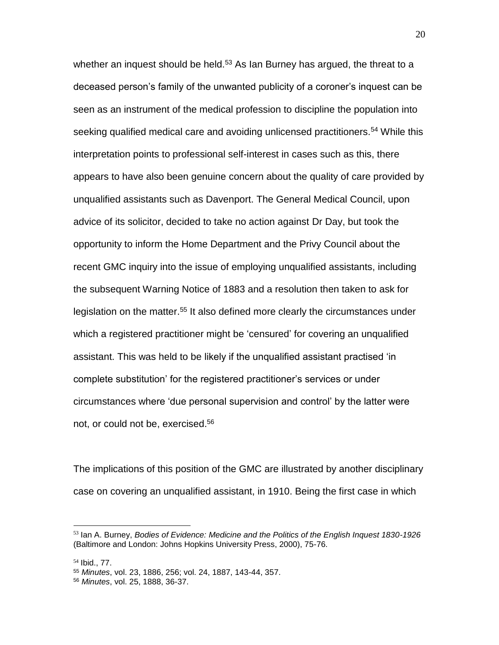whether an inquest should be held.<sup>53</sup> As Ian Burney has arqued, the threat to a deceased person's family of the unwanted publicity of a coroner's inquest can be seen as an instrument of the medical profession to discipline the population into seeking qualified medical care and avoiding unlicensed practitioners.<sup>54</sup> While this interpretation points to professional self-interest in cases such as this, there appears to have also been genuine concern about the quality of care provided by unqualified assistants such as Davenport. The General Medical Council, upon advice of its solicitor, decided to take no action against Dr Day, but took the opportunity to inform the Home Department and the Privy Council about the recent GMC inquiry into the issue of employing unqualified assistants, including the subsequent Warning Notice of 1883 and a resolution then taken to ask for legislation on the matter.<sup>55</sup> It also defined more clearly the circumstances under which a registered practitioner might be 'censured' for covering an unqualified assistant. This was held to be likely if the unqualified assistant practised 'in complete substitution' for the registered practitioner's services or under circumstances where 'due personal supervision and control' by the latter were not, or could not be, exercised.<sup>56</sup>

The implications of this position of the GMC are illustrated by another disciplinary case on covering an unqualified assistant, in 1910. Being the first case in which

<sup>53</sup> Ian A. Burney, *Bodies of Evidence: Medicine and the Politics of the English Inquest 1830-1926*  (Baltimore and London: Johns Hopkins University Press, 2000), 75-76.

<sup>54</sup> Ibid., 77.

<sup>55</sup> *Minutes*, vol. 23, 1886, 256; vol. 24, 1887, 143-44, 357.

<sup>56</sup> *Minutes*, vol. 25, 1888, 36-37.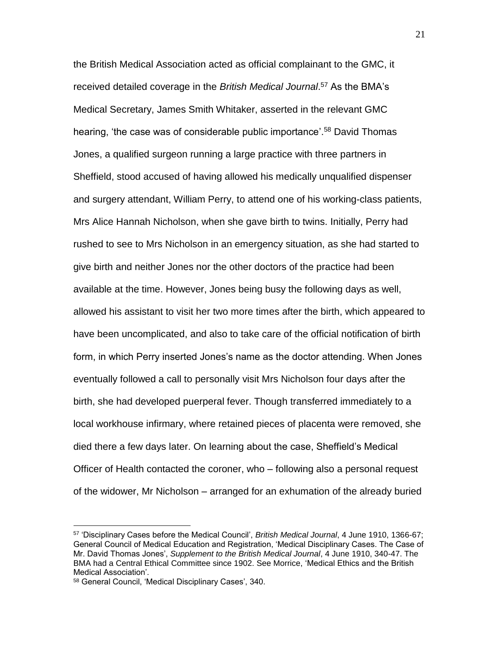the British Medical Association acted as official complainant to the GMC, it received detailed coverage in the *British Medical Journal*. <sup>57</sup> As the BMA's Medical Secretary, James Smith Whitaker, asserted in the relevant GMC hearing, 'the case was of considerable public importance'.<sup>58</sup> David Thomas Jones, a qualified surgeon running a large practice with three partners in Sheffield, stood accused of having allowed his medically unqualified dispenser and surgery attendant, William Perry, to attend one of his working-class patients, Mrs Alice Hannah Nicholson, when she gave birth to twins. Initially, Perry had rushed to see to Mrs Nicholson in an emergency situation, as she had started to give birth and neither Jones nor the other doctors of the practice had been available at the time. However, Jones being busy the following days as well, allowed his assistant to visit her two more times after the birth, which appeared to have been uncomplicated, and also to take care of the official notification of birth form, in which Perry inserted Jones's name as the doctor attending. When Jones eventually followed a call to personally visit Mrs Nicholson four days after the birth, she had developed puerperal fever. Though transferred immediately to a local workhouse infirmary, where retained pieces of placenta were removed, she died there a few days later. On learning about the case, Sheffield's Medical Officer of Health contacted the coroner, who – following also a personal request of the widower, Mr Nicholson – arranged for an exhumation of the already buried

<sup>57</sup> 'Disciplinary Cases before the Medical Council', *British Medical Journal*, 4 June 1910, 1366-67; General Council of Medical Education and Registration, 'Medical Disciplinary Cases. The Case of Mr. David Thomas Jones', *Supplement to the British Medical Journal*, 4 June 1910, 340-47. The BMA had a Central Ethical Committee since 1902. See Morrice, 'Medical Ethics and the British Medical Association'.

<sup>58</sup> General Council, 'Medical Disciplinary Cases', 340.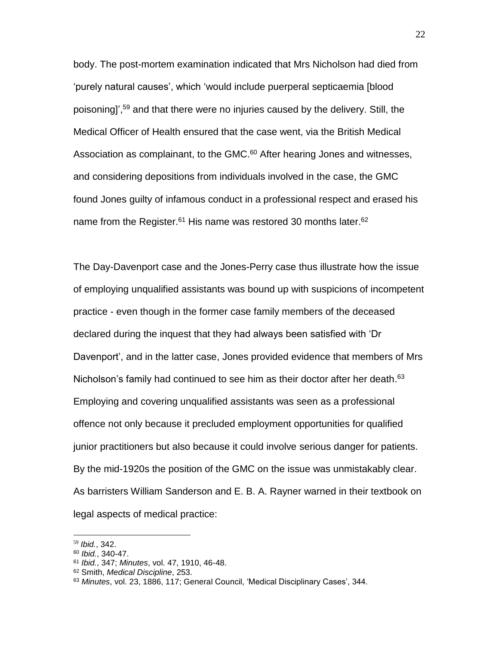body. The post-mortem examination indicated that Mrs Nicholson had died from 'purely natural causes', which 'would include puerperal septicaemia [blood poisoning]', <sup>59</sup> and that there were no injuries caused by the delivery. Still, the Medical Officer of Health ensured that the case went, via the British Medical Association as complainant, to the GMC.<sup>60</sup> After hearing Jones and witnesses, and considering depositions from individuals involved in the case, the GMC found Jones guilty of infamous conduct in a professional respect and erased his name from the Register.<sup>61</sup> His name was restored 30 months later.<sup>62</sup>

The Day-Davenport case and the Jones-Perry case thus illustrate how the issue of employing unqualified assistants was bound up with suspicions of incompetent practice - even though in the former case family members of the deceased declared during the inquest that they had always been satisfied with 'Dr Davenport', and in the latter case, Jones provided evidence that members of Mrs Nicholson's family had continued to see him as their doctor after her death.<sup>63</sup> Employing and covering unqualified assistants was seen as a professional offence not only because it precluded employment opportunities for qualified junior practitioners but also because it could involve serious danger for patients. By the mid-1920s the position of the GMC on the issue was unmistakably clear. As barristers William Sanderson and E. B. A. Rayner warned in their textbook on legal aspects of medical practice:

<sup>59</sup> *Ibid.*, 342.

<sup>60</sup> *Ibid.*, 340-47.

<sup>61</sup> *Ibid.*, 347; *Minutes*, vol. 47, 1910, 46-48.

<sup>62</sup> Smith, *Medical Discipline*, 253.

<sup>63</sup> *Minutes*, vol. 23, 1886, 117; General Council, 'Medical Disciplinary Cases', 344.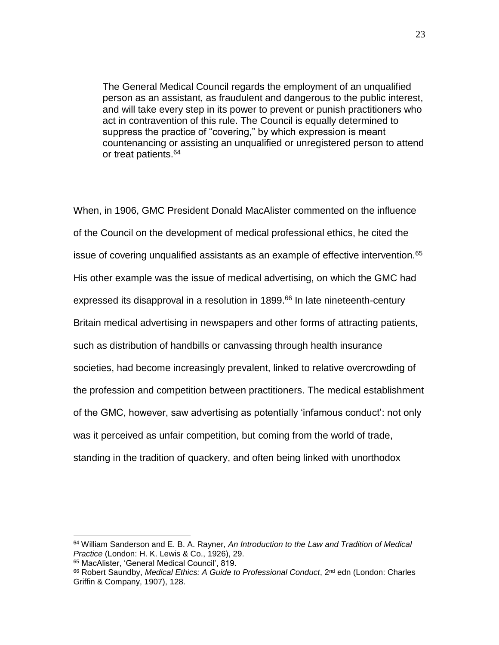The General Medical Council regards the employment of an unqualified person as an assistant, as fraudulent and dangerous to the public interest, and will take every step in its power to prevent or punish practitioners who act in contravention of this rule. The Council is equally determined to suppress the practice of "covering," by which expression is meant countenancing or assisting an unqualified or unregistered person to attend or treat patients. 64

When, in 1906, GMC President Donald MacAlister commented on the influence of the Council on the development of medical professional ethics, he cited the issue of covering unqualified assistants as an example of effective intervention.<sup>65</sup> His other example was the issue of medical advertising, on which the GMC had expressed its disapproval in a resolution in 1899.<sup>66</sup> In late nineteenth-century Britain medical advertising in newspapers and other forms of attracting patients, such as distribution of handbills or canvassing through health insurance societies, had become increasingly prevalent, linked to relative overcrowding of the profession and competition between practitioners. The medical establishment of the GMC, however, saw advertising as potentially 'infamous conduct': not only was it perceived as unfair competition, but coming from the world of trade, standing in the tradition of quackery, and often being linked with unorthodox

<sup>64</sup> William Sanderson and E. B. A. Rayner, *An Introduction to the Law and Tradition of Medical Practice* (London: H. K. Lewis & Co., 1926), 29.

<sup>65</sup> MacAlister, 'General Medical Council', 819.

<sup>&</sup>lt;sup>66</sup> Robert Saundby, *Medical Ethics: A Guide to Professional Conduct*, 2<sup>nd</sup> edn (London: Charles Griffin & Company, 1907), 128.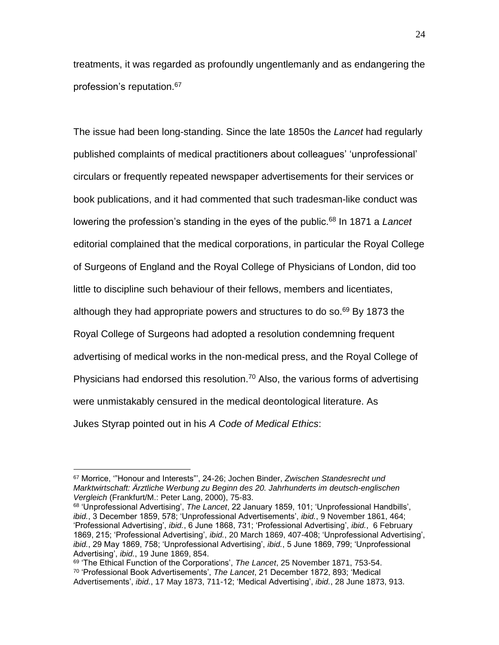treatments, it was regarded as profoundly ungentlemanly and as endangering the profession's reputation. 67

The issue had been long-standing. Since the late 1850s the *Lancet* had regularly published complaints of medical practitioners about colleagues' 'unprofessional' circulars or frequently repeated newspaper advertisements for their services or book publications, and it had commented that such tradesman-like conduct was lowering the profession's standing in the eyes of the public.<sup>68</sup> In 1871 a *Lancet* editorial complained that the medical corporations, in particular the Royal College of Surgeons of England and the Royal College of Physicians of London, did too little to discipline such behaviour of their fellows, members and licentiates, although they had appropriate powers and structures to do so.<sup>69</sup> By 1873 the Royal College of Surgeons had adopted a resolution condemning frequent advertising of medical works in the non-medical press, and the Royal College of Physicians had endorsed this resolution.<sup>70</sup> Also, the various forms of advertising were unmistakably censured in the medical deontological literature. As Jukes Styrap pointed out in his *A Code of Medical Ethics*:

<sup>67</sup> Morrice, '"Honour and Interests"', 24-26; Jochen Binder, *Zwischen Standesrecht und Marktwirtschaft: Ärztliche Werbung zu Beginn des 20. Jahrhunderts im deutsch-englischen Vergleich* (Frankfurt/M.: Peter Lang, 2000), 75-83.

<sup>68</sup> 'Unprofessional Advertising', *The Lancet*, 22 January 1859, 101; 'Unprofessional Handbills', *ibid.*, 3 December 1859, 578; 'Unprofessional Advertisements', *ibid.*, 9 November 1861, 464; 'Professional Advertising', *ibid.*, 6 June 1868, 731; 'Professional Advertising', *ibid.*, 6 February 1869, 215; 'Professional Advertising', *ibid.*, 20 March 1869, 407-408; 'Unprofessional Advertising', *ibid.*, 29 May 1869, 758; 'Unprofessional Advertising', *ibid.*, 5 June 1869, 799; 'Unprofessional Advertising', *ibid.*, 19 June 1869, 854.

<sup>69</sup> 'The Ethical Function of the Corporations', *The Lancet*, 25 November 1871, 753-54. <sup>70</sup> 'Professional Book Advertisements', *The Lancet*, 21 December 1872, 893; 'Medical Advertisements', *ibid.*, 17 May 1873, 711-12; 'Medical Advertising', *ibid.*, 28 June 1873, 913.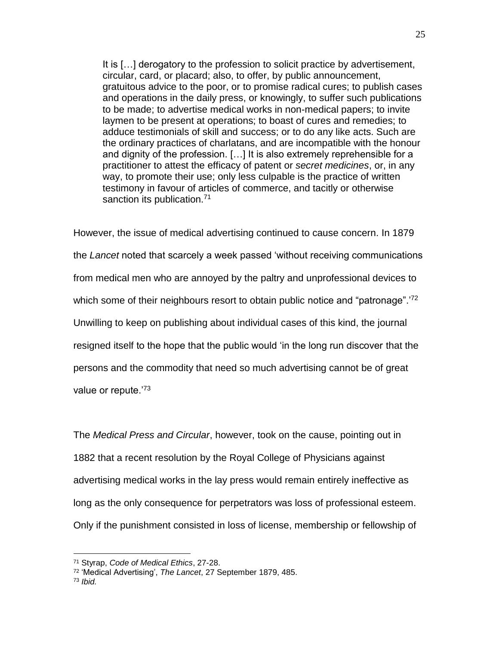It is […] derogatory to the profession to solicit practice by advertisement, circular, card, or placard; also, to offer, by public announcement, gratuitous advice to the poor, or to promise radical cures; to publish cases and operations in the daily press, or knowingly, to suffer such publications to be made; to advertise medical works in non-medical papers; to invite laymen to be present at operations; to boast of cures and remedies; to adduce testimonials of skill and success; or to do any like acts. Such are the ordinary practices of charlatans, and are incompatible with the honour and dignity of the profession. […] It is also extremely reprehensible for a practitioner to attest the efficacy of patent or *secret medicines*, or, in any way, to promote their use; only less culpable is the practice of written testimony in favour of articles of commerce, and tacitly or otherwise sanction its publication.<sup>71</sup>

However, the issue of medical advertising continued to cause concern. In 1879 the *Lancet* noted that scarcely a week passed 'without receiving communications from medical men who are annoyed by the paltry and unprofessional devices to which some of their neighbours resort to obtain public notice and "patronage".<sup>72</sup> Unwilling to keep on publishing about individual cases of this kind, the journal resigned itself to the hope that the public would 'in the long run discover that the persons and the commodity that need so much advertising cannot be of great value or repute.'73

The *Medical Press and Circular*, however, took on the cause, pointing out in 1882 that a recent resolution by the Royal College of Physicians against advertising medical works in the lay press would remain entirely ineffective as long as the only consequence for perpetrators was loss of professional esteem. Only if the punishment consisted in loss of license, membership or fellowship of

<sup>71</sup> Styrap, *Code of Medical Ethics*, 27-28.

<sup>72</sup> 'Medical Advertising', *The Lancet*, 27 September 1879, 485.

<sup>73</sup> *Ibid.*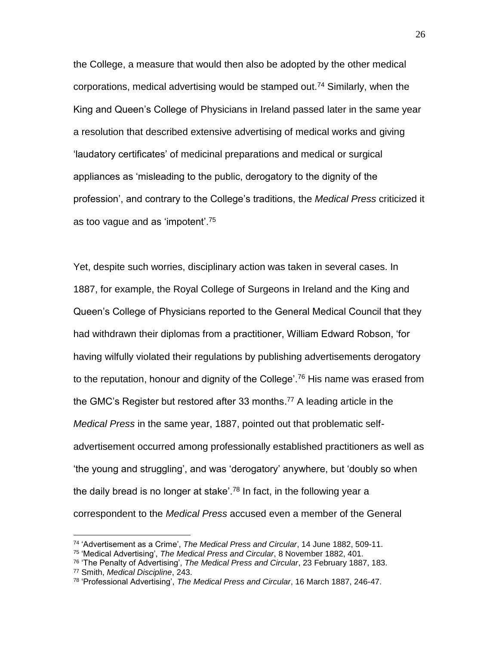the College, a measure that would then also be adopted by the other medical corporations, medical advertising would be stamped out.<sup>74</sup> Similarly, when the King and Queen's College of Physicians in Ireland passed later in the same year a resolution that described extensive advertising of medical works and giving 'laudatory certificates' of medicinal preparations and medical or surgical appliances as 'misleading to the public, derogatory to the dignity of the profession', and contrary to the College's traditions, the *Medical Press* criticized it as too vague and as 'impotent'.<sup>75</sup>

Yet, despite such worries, disciplinary action was taken in several cases. In 1887, for example, the Royal College of Surgeons in Ireland and the King and Queen's College of Physicians reported to the General Medical Council that they had withdrawn their diplomas from a practitioner, William Edward Robson, 'for having wilfully violated their regulations by publishing advertisements derogatory to the reputation, honour and dignity of the College'.<sup>76</sup> His name was erased from the GMC's Register but restored after 33 months.<sup>77</sup> A leading article in the *Medical Press* in the same year, 1887, pointed out that problematic selfadvertisement occurred among professionally established practitioners as well as 'the young and struggling', and was 'derogatory' anywhere, but 'doubly so when the daily bread is no longer at stake'.<sup>78</sup> In fact, in the following year a correspondent to the *Medical Press* accused even a member of the General

<sup>77</sup> Smith, *Medical Discipline*, 243.

<sup>74</sup> 'Advertisement as a Crime', *The Medical Press and Circular*, 14 June 1882, 509-11.

<sup>75</sup> 'Medical Advertising', *The Medical Press and Circular*, 8 November 1882, 401.

<sup>76</sup> 'The Penalty of Advertising', *The Medical Press and Circular*, 23 February 1887, 183.

<sup>78</sup> 'Professional Advertising', *The Medical Press and Circular*, 16 March 1887, 246-47.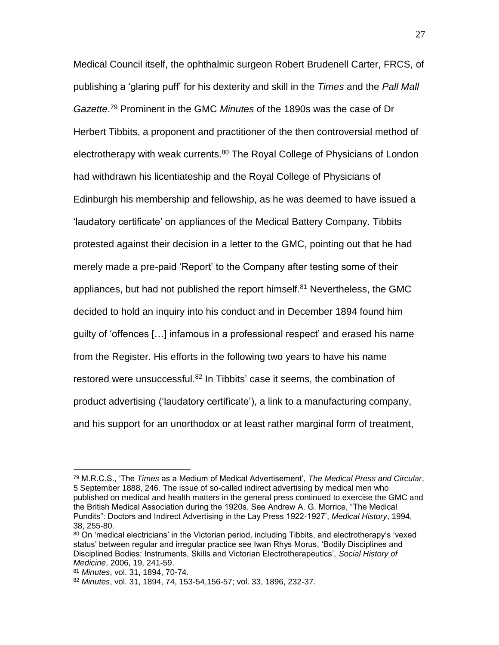Medical Council itself, the ophthalmic surgeon Robert Brudenell Carter, FRCS, of publishing a 'glaring puff' for his dexterity and skill in the *Times* and the *Pall Mall Gazette*. <sup>79</sup> Prominent in the GMC *Minutes* of the 1890s was the case of Dr Herbert Tibbits, a proponent and practitioner of the then controversial method of electrotherapy with weak currents.<sup>80</sup> The Royal College of Physicians of London had withdrawn his licentiateship and the Royal College of Physicians of Edinburgh his membership and fellowship, as he was deemed to have issued a 'laudatory certificate' on appliances of the Medical Battery Company. Tibbits protested against their decision in a letter to the GMC, pointing out that he had merely made a pre-paid 'Report' to the Company after testing some of their appliances, but had not published the report himself.<sup>81</sup> Nevertheless, the GMC decided to hold an inquiry into his conduct and in December 1894 found him guilty of 'offences […] infamous in a professional respect' and erased his name from the Register. His efforts in the following two years to have his name restored were unsuccessful. <sup>82</sup> In Tibbits' case it seems, the combination of product advertising ('laudatory certificate'), a link to a manufacturing company, and his support for an unorthodox or at least rather marginal form of treatment,

<sup>79</sup> M.R.C.S., 'The *Times* as a Medium of Medical Advertisement', *The Medical Press and Circular*, 5 September 1888, 246. The issue of so-called indirect advertising by medical men who published on medical and health matters in the general press continued to exercise the GMC and the British Medical Association during the 1920s. See Andrew A. G. Morrice, "The Medical Pundits": Doctors and Indirect Advertising in the Lay Press 1922-1927', *Medical History*, 1994, 38, 255-80.

<sup>80</sup> On 'medical electricians' in the Victorian period, including Tibbits, and electrotherapy's 'vexed status' between regular and irregular practice see Iwan Rhys Morus, 'Bodily Disciplines and Disciplined Bodies: Instruments, Skills and Victorian Electrotherapeutics', *Social History of Medicine*, 2006, 19, 241-59.

<sup>81</sup> *Minutes*, vol. 31, 1894, 70-74.

<sup>82</sup> *Minutes*, vol. 31, 1894, 74, 153-54,156-57; vol. 33, 1896, 232-37.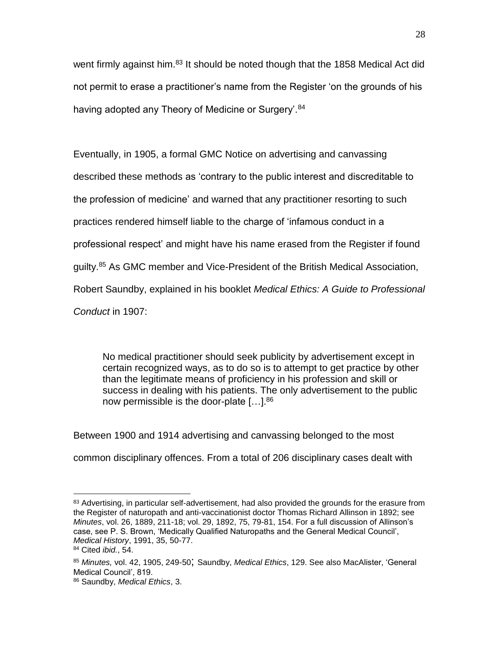went firmly against him.<sup>83</sup> It should be noted though that the 1858 Medical Act did not permit to erase a practitioner's name from the Register 'on the grounds of his having adopted any Theory of Medicine or Surgery'.<sup>84</sup>

Eventually, in 1905, a formal GMC Notice on advertising and canvassing described these methods as 'contrary to the public interest and discreditable to the profession of medicine' and warned that any practitioner resorting to such practices rendered himself liable to the charge of 'infamous conduct in a professional respect' and might have his name erased from the Register if found guilty.<sup>85</sup> As GMC member and Vice-President of the British Medical Association, Robert Saundby, explained in his booklet *Medical Ethics: A Guide to Professional Conduct* in 1907:

No medical practitioner should seek publicity by advertisement except in certain recognized ways, as to do so is to attempt to get practice by other than the legitimate means of proficiency in his profession and skill or success in dealing with his patients. The only advertisement to the public now permissible is the door-plate [...].<sup>86</sup>

Between 1900 and 1914 advertising and canvassing belonged to the most common disciplinary offences. From a total of 206 disciplinary cases dealt with

 $\overline{a}$ <sup>83</sup> Advertising, in particular self-advertisement, had also provided the grounds for the erasure from the Register of naturopath and anti-vaccinationist doctor Thomas Richard Allinson in 1892; see *Minutes*, vol. 26, 1889, 211-18; vol. 29, 1892, 75, 79-81, 154. For a full discussion of Allinson's case, see P. S. Brown, 'Medically Qualified Naturopaths and the General Medical Council', *Medical History*, 1991, 35, 50-77.

<sup>84</sup> Cited *ibid.*, 54.

<sup>85</sup> *Minutes,* vol. 42, 1905, 249-50; Saundby, *Medical Ethics*, 129. See also MacAlister, 'General Medical Council', 819.

<sup>86</sup> Saundby, *Medical Ethics*, 3.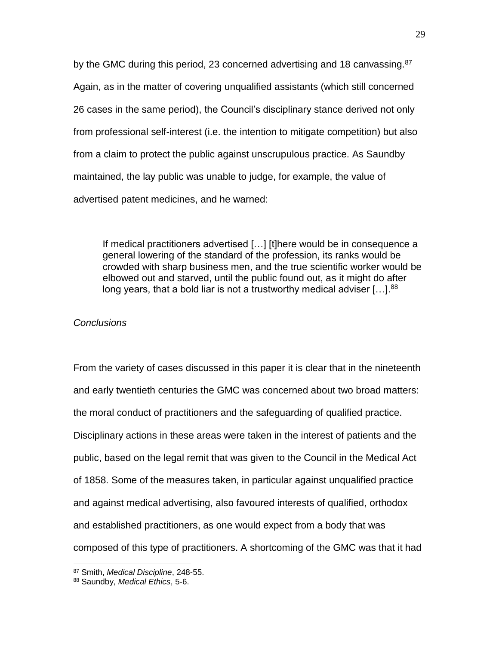by the GMC during this period, 23 concerned advertising and 18 canvassing.<sup>87</sup> Again, as in the matter of covering unqualified assistants (which still concerned 26 cases in the same period), the Council's disciplinary stance derived not only from professional self-interest (i.e. the intention to mitigate competition) but also from a claim to protect the public against unscrupulous practice. As Saundby maintained, the lay public was unable to judge, for example, the value of advertised patent medicines, and he warned:

If medical practitioners advertised […] [t]here would be in consequence a general lowering of the standard of the profession, its ranks would be crowded with sharp business men, and the true scientific worker would be elbowed out and starved, until the public found out, as it might do after long years, that a bold liar is not a trustworthy medical adviser […]. $^{88}$ 

## *Conclusions*

From the variety of cases discussed in this paper it is clear that in the nineteenth and early twentieth centuries the GMC was concerned about two broad matters: the moral conduct of practitioners and the safeguarding of qualified practice. Disciplinary actions in these areas were taken in the interest of patients and the public, based on the legal remit that was given to the Council in the Medical Act of 1858. Some of the measures taken, in particular against unqualified practice and against medical advertising, also favoured interests of qualified, orthodox and established practitioners, as one would expect from a body that was composed of this type of practitioners. A shortcoming of the GMC was that it had

<sup>87</sup> Smith, *Medical Discipline*, 248-55.

<sup>88</sup> Saundby, *Medical Ethics*, 5-6.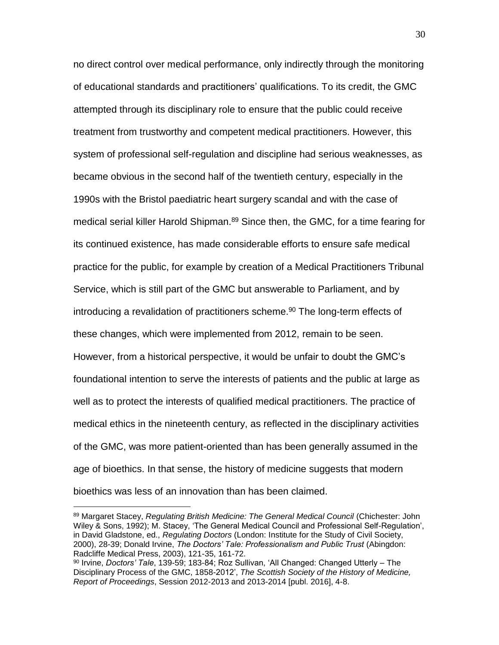no direct control over medical performance, only indirectly through the monitoring of educational standards and practitioners' qualifications. To its credit, the GMC attempted through its disciplinary role to ensure that the public could receive treatment from trustworthy and competent medical practitioners. However, this system of professional self-regulation and discipline had serious weaknesses, as became obvious in the second half of the twentieth century, especially in the 1990s with the Bristol paediatric heart surgery scandal and with the case of medical serial killer Harold Shipman.<sup>89</sup> Since then, the GMC, for a time fearing for its continued existence, has made considerable efforts to ensure safe medical practice for the public, for example by creation of a Medical Practitioners Tribunal Service, which is still part of the GMC but answerable to Parliament, and by introducing a revalidation of practitioners scheme. <sup>90</sup> The long-term effects of these changes, which were implemented from 2012, remain to be seen. However, from a historical perspective, it would be unfair to doubt the GMC's foundational intention to serve the interests of patients and the public at large as well as to protect the interests of qualified medical practitioners. The practice of medical ethics in the nineteenth century, as reflected in the disciplinary activities of the GMC, was more patient-oriented than has been generally assumed in the age of bioethics. In that sense, the history of medicine suggests that modern bioethics was less of an innovation than has been claimed.

<sup>89</sup> Margaret Stacey, *Regulating British Medicine: The General Medical Council* (Chichester: John Wiley & Sons, 1992); M. Stacey, 'The General Medical Council and Professional Self-Regulation', in David Gladstone, ed., *Regulating Doctors* (London: Institute for the Study of Civil Society, 2000), 28-39; Donald Irvine, *The Doctors' Tale: Professionalism and Public Trust* (Abingdon: Radcliffe Medical Press, 2003), 121-35, 161-72.

<sup>90</sup> Irvine, *Doctors' Tale*, 139-59; 183-84; Roz Sullivan, 'All Changed: Changed Utterly – The Disciplinary Process of the GMC, 1858-2012', *The Scottish Society of the History of Medicine, Report of Proceedings*, Session 2012-2013 and 2013-2014 [publ. 2016], 4-8.